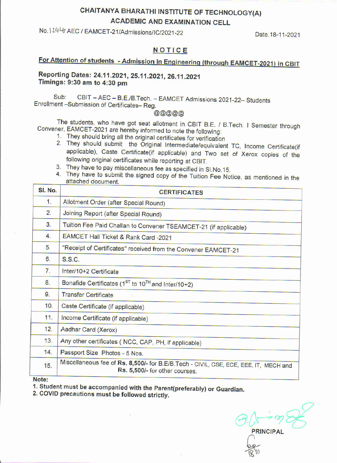## CHAITANYA BHARATHI INSTITUTE OF TECHNOLOGY(A) **ACADEMIC AND EXAMINATION CELL**

No. 1244/ AEC / EAMCET-21/Admissions/IC/2021-22

Date, 18-11-2021

## NOTICE

# For Attention of students - Admission in Engineering (through EAMCET-2021) in CBIT

Reporting Dates: 24.11.2021, 25.11.2021, 26.11.2021 Timings: 9:30 am to 4:30 pm

CBIT - AEC - B.E./B.Tech. - EAMCET Admissions 2021-22- Students Sub: Enrollment-Submission of Certificates-Reg.

 $000000$ 

The students, who have got seat allotment in CBIT B.E. / B.Tech. I Semester through Convener, EAMCET-2021 are hereby informed to note the following:

- 1. They should bring all the original certificates for verification
- 2. They should submit the Original Intermediate/equivalent TC, Income Certificate(if applicable), Caste Certificate(if applicable) and Two set of Xerox copies of the following original certificates while reporting at CBIT.
- 3. They have to pay miscellaneous fee as specified in SI.No.15.
- 4. They have to submit the signed copy of the Tuition Fee Notice, as mentioned in the attached document.

| SI. No. | <b>CERTIFICATES</b>                                                                                                    |  |  |
|---------|------------------------------------------------------------------------------------------------------------------------|--|--|
| 1.      | Allotment Order (after Special Round)                                                                                  |  |  |
| 2.      | Joining Report (after Special Round)                                                                                   |  |  |
| 3.      | Tuition Fee Paid Challan to Convener TSEAMCET-21 (if applicable)                                                       |  |  |
| 4.      | EAMCET Hall Ticket & Rank Card -2021                                                                                   |  |  |
| 5.      | "Receipt of Certificates" received from the Convener EAMCET-21                                                         |  |  |
| 6.      | S.S.C.                                                                                                                 |  |  |
| 7.      | Inter/10+2 Certificate                                                                                                 |  |  |
| 8.      | Bonafide Certificates (1 <sup>ST</sup> to 10 <sup>TH</sup> and Inter/10+2)                                             |  |  |
| 9.      | <b>Transfer Certificate</b>                                                                                            |  |  |
| 10.     | Caste Certificate (if applicable)                                                                                      |  |  |
| 11.     | Income Certificate (if applicable)                                                                                     |  |  |
| 12.     | Aadhar Card (Xerox)                                                                                                    |  |  |
| 13.     | Any other certificates (NCC, CAP, PH, if applicable)                                                                   |  |  |
| 14.     | Passport Size Photos - 5 Nos.                                                                                          |  |  |
| 15.     | Miscellaneous fee of Rs. 8,500/- for B.E/B.Tech - CIVIL, CSE, ECE, EEE, IT, MECH and<br>Rs. 5,500/- for other courses. |  |  |
| Note:   |                                                                                                                        |  |  |

1. Student must be accompanied with the Parent(preferably) or Guardian.

2. COVID precautions must be followed strictly.

**PRINCIPAL**